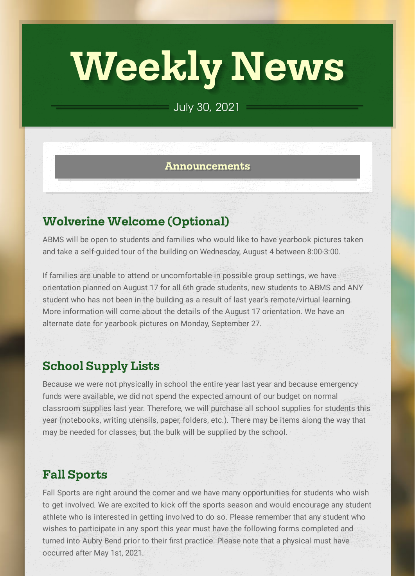# **Weekly News**

## July 30, 2021

#### **Announcements**

## **Wolverine Welcome (Optional)**

ABMS will be open to students and families who would like to have yearbook pictures taken and take a self-guided tour of the building on Wednesday, August 4 between 8:00-3:00.

If families are unable to attend or uncomfortable in possible group settings, we have orientation planned on August 17 for all 6th grade students, new students to ABMS and ANY student who has not been in the building as a result of last year's remote/virtual learning. More information will come about the details of the August 17 orientation. We have an alternate date for yearbook pictures on Monday, September 27.

## **School Supply Lists**

Because we were not physically in school the entire year last year and because emergency funds were available, we did not spend the expected amount of our budget on normal classroom supplies last year. Therefore, we will purchase all school supplies for students this year (notebooks, writing utensils, paper, folders, etc.). There may be items along the way that may be needed for classes, but the bulk will be supplied by the school.

## **Fall Sports**

Fall Sports are right around the corner and we have many opportunities for students who wish to get involved. We are excited to kick off the sports season and would encourage any student athlete who is interested in getting involved to do so. Please remember that any student who wishes to participate in any sport this year must have the following forms completed and turned into Aubry Bend prior to their first practice. Please note that a physical must have occurred after May 1st, 2021.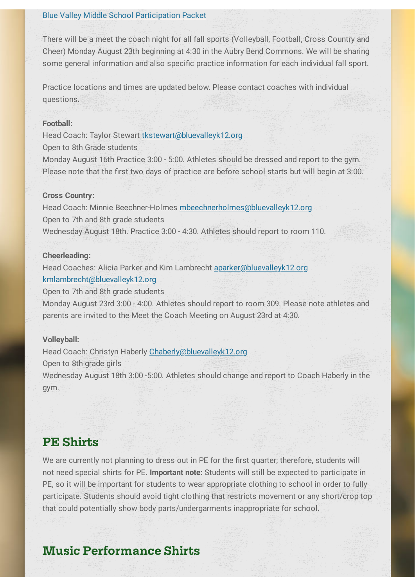#### Blue Valley Middle School [Participation](https://www.bluevalleyk12.org/cms/lib/ks02212623/Centricity/Domain/4501/Participation%20Packet%20for%20Middle%20School%20Students%202021-22.pdf) Packet

There will be a meet the coach night for all fall sports (Volleyball, Football, Cross Country and Cheer) Monday August 23th beginning at 4:30 in the Aubry Bend Commons. We will be sharing some general information and also specific practice information for each individual fall sport.

Practice locations and times are updated below. Please contact coaches with individual questions.

#### **Football:**

Head Coach: Taylor Stewart [tkstewart@bluevalleyk12.org](mailto:tkstewart@bluevalleyk12.org) Open to 8th Grade students

Monday August 16th Practice 3:00 - 5:00. Athletes should be dressed and report to the gym. Please note that the first two days of practice are before school starts but will begin at 3:00.

#### **Cross Country:**

Head Coach: Minnie Beechner-Holmes [mbeechnerholmes@bluevalleyk12.org](mailto:mbeechnerholmes@bluevalleyk12.org) Open to 7th and 8th grade students Wednesday August 18th. Practice 3:00 - 4:30. Athletes should report to room 110.

#### **Cheerleading:**

Head Coaches: Alicia Parker and Kim Lambrecht [aparker@bluevalleyk12.org](mailto:aparker@bluevalleyk12.org) [kmlambrecht@bluevalleyk12.org](mailto:kmlambrecht@bluevalleyk12.org)

Open to 7th and 8th grade students

Monday August 23rd 3:00 - 4:00. Athletes should report to room 309. Please note athletes and parents are invited to the Meet the Coach Meeting on August 23rd at 4:30.

#### **Volleyball:**

Head Coach: Christyn Haberly Chaberly @bluevalleyk12.org

Open to 8th grade girls

Wednesday August 18th 3:00 -5:00. Athletes should change and report to Coach Haberly in the gym.

## **PE Shirts**

We are currently not planning to dress out in PE for the first quarter; therefore, students will not need special shirts for PE. **Important note:** Students will still be expected to participate in PE, so it will be important for students to wear appropriate clothing to school in order to fully participate. Students should avoid tight clothing that restricts movement or any short/crop top that could potentially show body parts/undergarments inappropriate for school.

## **Music Performance Shirts**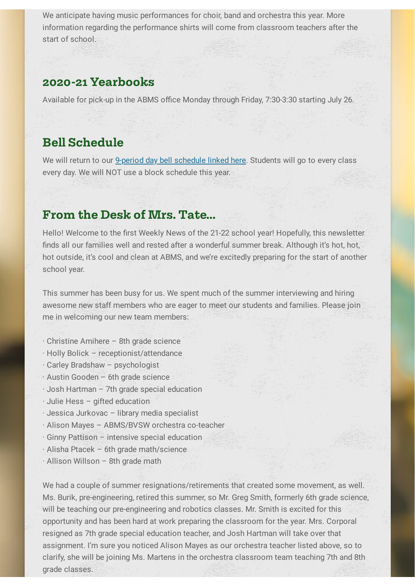We anticipate having music performances for choir, band and orchestra this year. More information regarding the performance shirts will come from classroom teachers after the start of school.

### **2020-21 Yearbooks**

Available for pick-up in the ABMS office Monday through Friday, 7:30-3:30 starting July 26.

## **Bell Schedule**

We will return to our 9-period day bell [schedule](https://docs.google.com/spreadsheets/d/1cUz4351vV9oUlcqPQG-Pl3yld-sg53dJRE8YN2zQyhM/edit?usp=sharing) linked here. Students will go to every class every day. We will NOT use a block schedule this year.

## **From the Desk of Mrs. Tate...**

Hello! Welcome to the first Weekly News of the 21-22 school year! Hopefully, this newsletter finds all our families well and rested after a wonderful summer break. Although it's hot, hot, hot outside, it's cool and clean at ABMS, and we're excitedly preparing for the start of another school year.

This summer has been busy for us. We spent much of the summer interviewing and hiring awesome new staff members who are eager to meet our students and families. Please join me in welcoming our new team members:

- · Christine Amihere 8th grade science
- · Holly Bolick receptionist/attendance
- · Carley Bradshaw psychologist
- · Austin Gooden 6th grade science
- · Josh Hartman 7th grade special education
- · Julie Hess gifted education
- · Jessica Jurkovac library media specialist
- · Alison Mayes ABMS/BVSW orchestra co-teacher
- · Ginny Pattison intensive special education
- · Alisha Ptacek 6th grade math/science
- · Allison Willson 8th grade math

We had a couple of summer resignations/retirements that created some movement, as well. Ms. Burik, pre-engineering, retired this summer, so Mr. Greg Smith, formerly 6th grade science, will be teaching our pre-engineering and robotics classes. Mr. Smith is excited for this opportunity and has been hard at work preparing the classroom for the year. Mrs. Corporal resigned as 7th grade special education teacher, and Josh Hartman will take over that assignment. I'm sure you noticed Alison Mayes as our orchestra teacher listed above, so to clarify, she will be joining Ms. Martens in the orchestra classroom team teaching 7th and 8th grade classes.